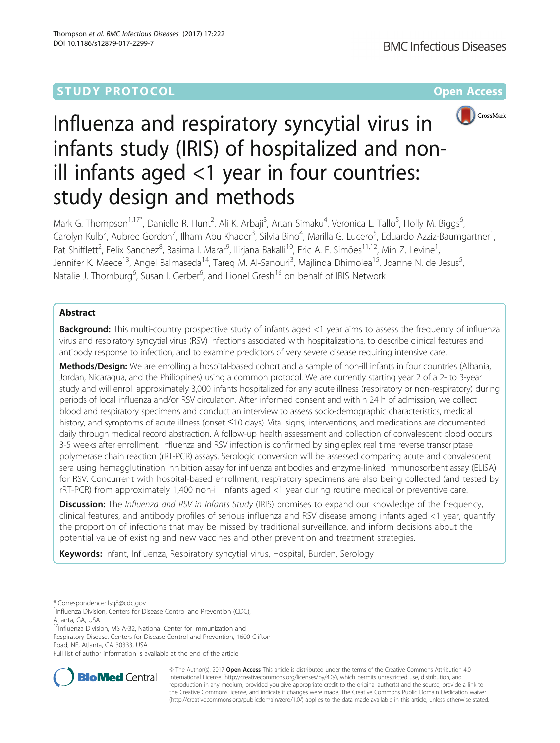

# Influenza and respiratory syncytial virus in infants study (IRIS) of hospitalized and nonill infants aged <1 year in four countries: study design and methods

Mark G. Thompson<sup>1,17\*</sup>, Danielle R. Hunt<sup>2</sup>, Ali K. Arbaji<sup>3</sup>, Artan Simaku<sup>4</sup>, Veronica L. Tallo<sup>5</sup>, Holly M. Biggs<sup>6</sup> , Carolyn Kulb<sup>2</sup>, Aubree Gordon<sup>7</sup>, Ilham Abu Khader<sup>3</sup>, Silvia Bino<sup>4</sup>, Marilla G. Lucero<sup>5</sup>, Eduardo Azziz-Baumgartner<sup>1</sup> , Pat Shifflett<sup>2</sup>, Felix Sanchez<sup>8</sup>, Basima I. Marar<sup>9</sup>, Ilirjana Bakalli<sup>10</sup>, Eric A. F. Simões<sup>11,12</sup>, Min Z. Levine<sup>1</sup> , Jennifer K. Meece<sup>13</sup>, Angel Balmaseda<sup>14</sup>, Tareq M. Al-Sanouri<sup>3</sup>, Majlinda Dhimolea<sup>15</sup>, Joanne N. de Jesus<sup>5</sup> , Natalie J. Thornburg<sup>6</sup>, Susan I. Gerber<sup>6</sup>, and Lionel Gresh<sup>16</sup> on behalf of IRIS Network

# Abstract

**Background:** This multi-country prospective study of infants aged <1 year aims to assess the frequency of influenza virus and respiratory syncytial virus (RSV) infections associated with hospitalizations, to describe clinical features and antibody response to infection, and to examine predictors of very severe disease requiring intensive care.

Methods/Design: We are enrolling a hospital-based cohort and a sample of non-ill infants in four countries (Albania, Jordan, Nicaragua, and the Philippines) using a common protocol. We are currently starting year 2 of a 2- to 3-year study and will enroll approximately 3,000 infants hospitalized for any acute illness (respiratory or non-respiratory) during periods of local influenza and/or RSV circulation. After informed consent and within 24 h of admission, we collect blood and respiratory specimens and conduct an interview to assess socio-demographic characteristics, medical history, and symptoms of acute illness (onset ≤10 days). Vital signs, interventions, and medications are documented daily through medical record abstraction. A follow-up health assessment and collection of convalescent blood occurs 3-5 weeks after enrollment. Influenza and RSV infection is confirmed by singleplex real time reverse transcriptase polymerase chain reaction (rRT-PCR) assays. Serologic conversion will be assessed comparing acute and convalescent sera using hemagglutination inhibition assay for influenza antibodies and enzyme-linked immunosorbent assay (ELISA) for RSV. Concurrent with hospital-based enrollment, respiratory specimens are also being collected (and tested by rRT-PCR) from approximately 1,400 non-ill infants aged <1 year during routine medical or preventive care.

**Discussion:** The Influenza and RSV in Infants Study (IRIS) promises to expand our knowledge of the frequency, clinical features, and antibody profiles of serious influenza and RSV disease among infants aged <1 year, quantify the proportion of infections that may be missed by traditional surveillance, and inform decisions about the potential value of existing and new vaccines and other prevention and treatment strategies.

Keywords: Infant, Influenza, Respiratory syncytial virus, Hospital, Burden, Serology

\* Correspondence: [Isq8@cdc.gov](mailto:Isq8@cdc.gov) <sup>1</sup>

<sup>1</sup>Influenza Division, Centers for Disease Control and Prevention (CDC), Atlanta, GA, USA

<sup>17</sup>Influenza Division, MS A-32, National Center for Immunization and

Respiratory Disease, Centers for Disease Control and Prevention, 1600 Clifton Road, NE, Atlanta, GA 30333, USA

Full list of author information is available at the end of the article



© The Author(s). 2017 **Open Access** This article is distributed under the terms of the Creative Commons Attribution 4.0 International License [\(http://creativecommons.org/licenses/by/4.0/](http://creativecommons.org/licenses/by/4.0/)), which permits unrestricted use, distribution, and reproduction in any medium, provided you give appropriate credit to the original author(s) and the source, provide a link to the Creative Commons license, and indicate if changes were made. The Creative Commons Public Domain Dedication waiver [\(http://creativecommons.org/publicdomain/zero/1.0/](http://creativecommons.org/publicdomain/zero/1.0/)) applies to the data made available in this article, unless otherwise stated.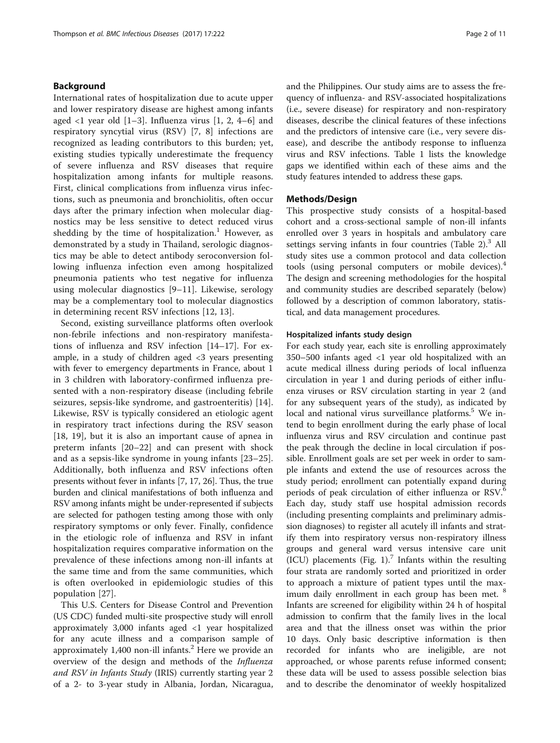# Background

International rates of hospitalization due to acute upper and lower respiratory disease are highest among infants aged  $\langle$ [1](#page-9-0) year old [1–[3](#page-9-0)]. Influenza virus [\[1](#page-9-0), [2](#page-9-0), [4](#page-9-0)–[6](#page-9-0)] and respiratory syncytial virus (RSV) [\[7](#page-9-0), [8\]](#page-9-0) infections are recognized as leading contributors to this burden; yet, existing studies typically underestimate the frequency of severe influenza and RSV diseases that require hospitalization among infants for multiple reasons. First, clinical complications from influenza virus infections, such as pneumonia and bronchiolitis, often occur days after the primary infection when molecular diagnostics may be less sensitive to detect reduced virus shedding by the time of hospitalization.<sup>1</sup> However, as demonstrated by a study in Thailand, serologic diagnostics may be able to detect antibody seroconversion following influenza infection even among hospitalized pneumonia patients who test negative for influenza using molecular diagnostics [[9](#page-9-0)–[11\]](#page-9-0). Likewise, serology may be a complementary tool to molecular diagnostics in determining recent RSV infections [\[12](#page-9-0), [13\]](#page-9-0).

Second, existing surveillance platforms often overlook non-febrile infections and non-respiratory manifestations of influenza and RSV infection [\[14](#page-9-0)–[17\]](#page-10-0). For example, in a study of children aged <3 years presenting with fever to emergency departments in France, about 1 in 3 children with laboratory-confirmed influenza presented with a non-respiratory disease (including febrile seizures, sepsis-like syndrome, and gastroenteritis) [\[14](#page-9-0)]. Likewise, RSV is typically considered an etiologic agent in respiratory tract infections during the RSV season [[18, 19](#page-10-0)], but it is also an important cause of apnea in preterm infants [\[20](#page-10-0)–[22](#page-10-0)] and can present with shock and as a sepsis-like syndrome in young infants [\[23](#page-10-0)–[25](#page-10-0)]. Additionally, both influenza and RSV infections often presents without fever in infants [[7,](#page-9-0) [17](#page-10-0), [26\]](#page-10-0). Thus, the true burden and clinical manifestations of both influenza and RSV among infants might be under-represented if subjects are selected for pathogen testing among those with only respiratory symptoms or only fever. Finally, confidence in the etiologic role of influenza and RSV in infant hospitalization requires comparative information on the prevalence of these infections among non-ill infants at the same time and from the same communities, which is often overlooked in epidemiologic studies of this population [[27\]](#page-10-0).

This U.S. Centers for Disease Control and Prevention (US CDC) funded multi-site prospective study will enroll approximately 3,000 infants aged <1 year hospitalized for any acute illness and a comparison sample of approximately 1,400 non-ill infants.<sup>2</sup> Here we provide an overview of the design and methods of the Influenza and RSV in Infants Study (IRIS) currently starting year 2 of a 2- to 3-year study in Albania, Jordan, Nicaragua, and the Philippines. Our study aims are to assess the frequency of influenza- and RSV-associated hospitalizations (i.e., severe disease) for respiratory and non-respiratory diseases, describe the clinical features of these infections and the predictors of intensive care (i.e., very severe disease), and describe the antibody response to influenza virus and RSV infections. Table [1](#page-2-0) lists the knowledge gaps we identified within each of these aims and the study features intended to address these gaps.

# Methods/Design

This prospective study consists of a hospital-based cohort and a cross-sectional sample of non-ill infants enrolled over 3 years in hospitals and ambulatory care settings serving infants in four countries (Table  $2$ ).<sup>3</sup> All study sites use a common protocol and data collection tools (using personal computers or mobile devices).<sup>4</sup> The design and screening methodologies for the hospital and community studies are described separately (below) followed by a description of common laboratory, statistical, and data management procedures.

#### Hospitalized infants study design

For each study year, each site is enrolling approximately 350–500 infants aged <1 year old hospitalized with an acute medical illness during periods of local influenza circulation in year 1 and during periods of either influenza viruses or RSV circulation starting in year 2 (and for any subsequent years of the study), as indicated by local and national virus surveillance platforms.<sup>5</sup> We intend to begin enrollment during the early phase of local influenza virus and RSV circulation and continue past the peak through the decline in local circulation if possible. Enrollment goals are set per week in order to sample infants and extend the use of resources across the study period; enrollment can potentially expand during periods of peak circulation of either influenza or RSV.<sup>6</sup> Each day, study staff use hospital admission records (including presenting complaints and preliminary admission diagnoses) to register all acutely ill infants and stratify them into respiratory versus non-respiratory illness groups and general ward versus intensive care unit (ICU) placements (Fig. [1\)](#page-3-0).<sup>7</sup> Infants within the resulting four strata are randomly sorted and prioritized in order to approach a mixture of patient types until the maximum daily enrollment in each group has been met. <sup>8</sup> Infants are screened for eligibility within 24 h of hospital admission to confirm that the family lives in the local area and that the illness onset was within the prior 10 days. Only basic descriptive information is then recorded for infants who are ineligible, are not approached, or whose parents refuse informed consent; these data will be used to assess possible selection bias and to describe the denominator of weekly hospitalized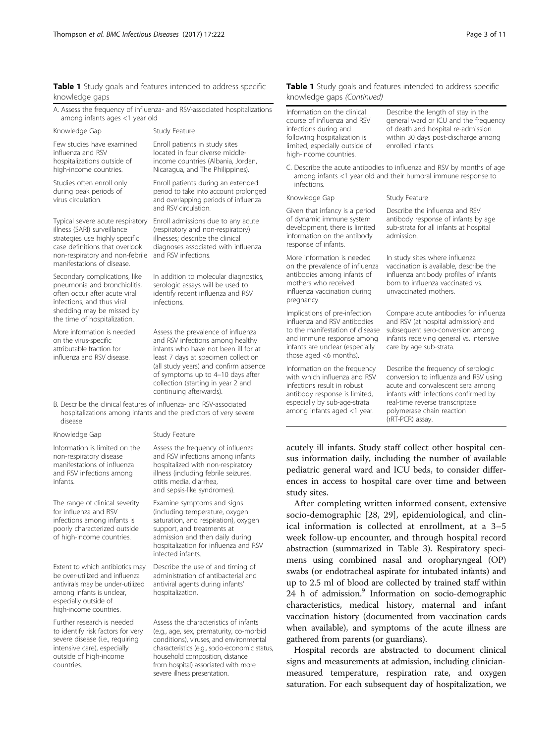# <span id="page-2-0"></span>Table 1 Study goals and features intended to address specific knowledge gaps

| A. Assess the frequency of influenza- and RSV-associated hospitalizations |  |  |
|---------------------------------------------------------------------------|--|--|
| among infants ages <1 year old                                            |  |  |

| Knowledge Gap                                                                                                                                                                                        | Study Feature                                                                                                                                                                                                                                                                                        |
|------------------------------------------------------------------------------------------------------------------------------------------------------------------------------------------------------|------------------------------------------------------------------------------------------------------------------------------------------------------------------------------------------------------------------------------------------------------------------------------------------------------|
| Few studies have examined<br>influenza and RSV<br>hospitalizations outside of<br>high-income countries.                                                                                              | Enroll patients in study sites<br>located in four diverse middle-<br>income countries (Albania, Jordan,<br>Nicaragua, and The Philippines).                                                                                                                                                          |
| Studies often enroll only<br>during peak periods of<br>virus circulation.                                                                                                                            | Enroll patients during an extended<br>period to take into account prolonged<br>and overlapping periods of influenza<br>and RSV circulation.                                                                                                                                                          |
| Typical severe acute respiratory<br>illness (SARI) surveillance<br>strategies use highly specific<br>case definitions that overlook<br>non-respiratory and non-febrile<br>manifestations of disease. | Enroll admissions due to any acute<br>(respiratory and non-respiratory)<br>illnesses; describe the clinical<br>diagnoses associated with influenza<br>and RSV infections.                                                                                                                            |
| Secondary complications, like<br>pneumonia and bronchiolitis,<br>often occur after acute viral<br>infections, and thus viral<br>shedding may be missed by<br>the time of hospitalization.            | In addition to molecular diagnostics,<br>serologic assays will be used to<br>identify recent influenza and RSV<br>infections.                                                                                                                                                                        |
| More information is needed<br>on the virus-specific<br>attributable fraction for<br>influenza and RSV disease.                                                                                       | Assess the prevalence of influenza<br>and RSV infections among healthy<br>infants who have not been ill for at<br>least 7 days at specimen collection<br>(all study years) and confirm absence<br>of symptoms up to 4-10 days after<br>collection (starting in year 2 and<br>continuing afterwards). |
| B. Describe the clinical features of influenza- and RSV-associated<br>disease                                                                                                                        | hospitalizations among infants and the predictors of very severe                                                                                                                                                                                                                                     |

Information is limited on the non-respiratory disease manifestations of influenza and RSV infections among infants.

The range of clinical severity for influenza and RSV infections among infants is poorly characterized outside of high-income countries.

Extent to which antibiotics may be over-utilized and influenza antivirals may be under-utilized among infants is unclear, especially outside of high-income countries.

Further research is needed to identify risk factors for very severe disease (i.e., requiring intensive care), especially outside of high-income countries.

#### Knowledge Gap Study Feature

Assess the frequency of influenza and RSV infections among infants hospitalized with non-respiratory illness (including febrile seizures, otitis media, diarrhea, and sepsis-like syndromes).

Examine symptoms and signs (including temperature, oxygen saturation, and respiration), oxygen support, and treatments at admission and then daily during hospitalization for influenza and RSV infected infants.

Describe the use of and timing of administration of antibacterial and antiviral agents during infants' hospitalization.

Assess the characteristics of infants (e.g., age, sex, prematurity, co-morbid conditions), viruses, and environmental characteristics (e.g., socio-economic status, household composition, distance from hospital) associated with more severe illness presentation.

# Table 1 Study goals and features intended to address specific knowledge gaps (Continued)

| Information on the clinical<br>course of influenza and RSV<br>infections during and<br>following hospitalization is<br>limited, especially outside of<br>high-income countries.             | Describe the length of stay in the<br>general ward or ICU and the frequency<br>of death and hospital re-admission<br>within 30 days post-discharge among<br>enrolled infants.                                                                 |
|---------------------------------------------------------------------------------------------------------------------------------------------------------------------------------------------|-----------------------------------------------------------------------------------------------------------------------------------------------------------------------------------------------------------------------------------------------|
| infections                                                                                                                                                                                  | C. Describe the acute antibodies to influenza and RSV by months of age<br>among infants <1 year old and their humoral immune response to                                                                                                      |
| Knowledge Gap                                                                                                                                                                               | Study Feature                                                                                                                                                                                                                                 |
| Given that infancy is a period<br>of dynamic immune system<br>development, there is limited<br>information on the antibody<br>response of infants.                                          | Describe the influenza and RSV<br>antibody response of infants by age<br>sub-strata for all infants at hospital<br>admission.                                                                                                                 |
| More information is needed<br>on the prevalence of influenza<br>antibodies among infants of<br>mothers who received<br>influenza vaccination during<br>pregnancy.                           | In study sites where influenza<br>vaccination is available, describe the<br>influenza antibody profiles of infants<br>born to influenza vaccinated vs.<br>unvaccinated mothers.                                                               |
| Implications of pre-infection<br>influenza and RSV antibodies<br>to the manifestation of disease<br>and immune response among<br>infants are unclear (especially<br>those aged <6 months).  | Compare acute antibodies for influenza<br>and RSV (at hospital admission) and<br>subsequent sero-conversion among<br>infants receiving general vs. intensive<br>care by age sub-strata.                                                       |
| Information on the frequency<br>with which influenza and RSV<br>infections result in robust<br>antibody response is limited,<br>especially by sub-age-strata<br>among infants aged <1 year. | Describe the frequency of serologic<br>conversion to influenza and RSV using<br>acute and convalescent sera among<br>infants with infections confirmed by<br>real-time reverse transcriptase<br>polymerase chain reaction<br>(rRT-PCR) assay. |

acutely ill infants. Study staff collect other hospital census information daily, including the number of available pediatric general ward and ICU beds, to consider differences in access to hospital care over time and between study sites.

After completing written informed consent, extensive socio-demographic [[28, 29](#page-10-0)], epidemiological, and clinical information is collected at enrollment, at a 3–5 week follow-up encounter, and through hospital record abstraction (summarized in Table [3\)](#page-4-0). Respiratory specimens using combined nasal and oropharyngeal (OP) swabs (or endotracheal aspirate for intubated infants) and up to 2.5 ml of blood are collected by trained staff within 24 h of admission.<sup>9</sup> Information on socio-demographic characteristics, medical history, maternal and infant vaccination history (documented from vaccination cards when available), and symptoms of the acute illness are gathered from parents (or guardians).

Hospital records are abstracted to document clinical signs and measurements at admission, including clinicianmeasured temperature, respiration rate, and oxygen saturation. For each subsequent day of hospitalization, we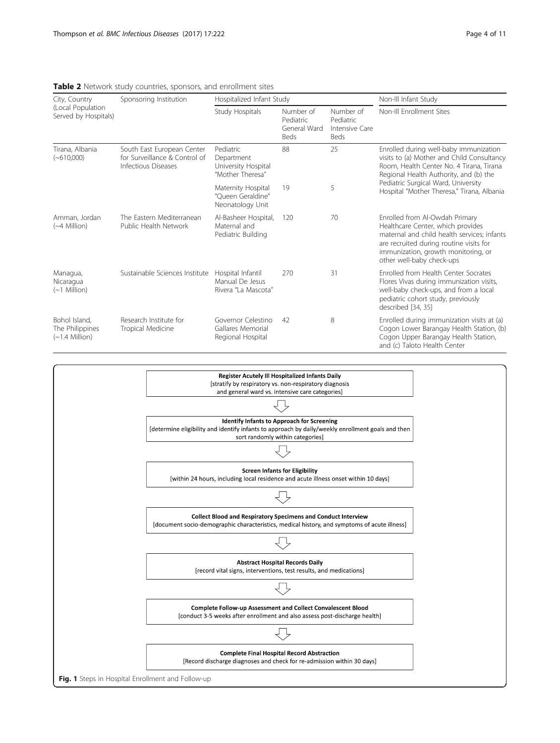| City, Country<br>(Local Population<br>Served by Hospitals) | Sponsoring Institution                                                             | Hospitalized Infant Study                                          |                                                |                                                  | Non-Ill Infant Study                                                                                                                                                                                                              |  |
|------------------------------------------------------------|------------------------------------------------------------------------------------|--------------------------------------------------------------------|------------------------------------------------|--------------------------------------------------|-----------------------------------------------------------------------------------------------------------------------------------------------------------------------------------------------------------------------------------|--|
|                                                            |                                                                                    | Study Hospitals                                                    | Number of<br>Pediatric<br>General Ward<br>Beds | Number of<br>Pediatric<br>Intensive Care<br>Beds | Non-III Enrollment Sites                                                                                                                                                                                                          |  |
| Tirana, Albania<br>$(-610,000)$                            | South East European Center<br>for Surveillance & Control of<br>Infectious Diseases | Pediatric<br>Department<br>University Hospital<br>"Mother Theresa" | 88                                             | 25                                               | Enrolled during well-baby immunization<br>visits to (a) Mother and Child Consultancy<br>Room, Health Center No. 4 Tirana, Tirana<br>Regional Health Authority, and (b) the                                                        |  |
|                                                            |                                                                                    | Maternity Hospital<br>"Oueen Geraldine"<br>Neonatology Unit        | 19                                             | 5                                                | Pediatric Surgical Ward, University<br>Hospital "Mother Theresa," Tirana, Albania                                                                                                                                                 |  |
| Amman, Jordan<br>$(\sim4$ Million)                         | The Fastern Mediterranean<br>Public Health Network                                 | Al-Basheer Hospital,<br>Maternal and<br>Pediatric Building         | 120                                            | 70                                               | Enrolled from Al-Owdah Primary<br>Healthcare Center, which provides<br>maternal and child health services; infants<br>are recruited during routine visits for<br>immunization, growth monitoring, or<br>other well-baby check-ups |  |
| Managua,<br>Nicaragua<br>$(\sim 1$ Million)                | Sustainable Sciences Institute                                                     | Hospital Infantil<br>Manual De Jesus<br>Rivera "La Mascota"        | 270                                            | 31                                               | Enrolled from Health Center Socrates<br>Flores Vivas during immunization visits,<br>well-baby check-ups, and from a local<br>pediatric cohort study, previously<br>described [34, 35]                                             |  |
| Bohol Island.<br>The Philippines<br>$(\sim]1.4$ Million)   | Research Institute for<br>Tropical Medicine                                        | Governor Celestino<br>Gallares Memorial<br>Regional Hospital       | 42                                             | 8                                                | Enrolled during immunization visits at (a)<br>Cogon Lower Barangay Health Station, (b)<br>Cogon Upper Barangay Health Station,<br>and (c) Taloto Health Center                                                                    |  |

#### <span id="page-3-0"></span>Table 2 Network study countries, sponsors, and enrollment sites

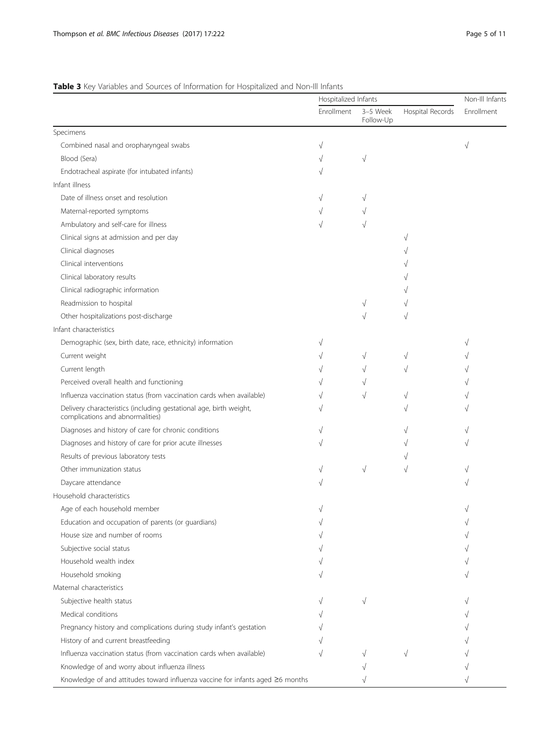# <span id="page-4-0"></span>Table 3 Key Variables and Sources of Information for Hospitalized and Non-Ill Infants

|                                                                                                        |            | Hospitalized Infants  |                  |                   |
|--------------------------------------------------------------------------------------------------------|------------|-----------------------|------------------|-------------------|
|                                                                                                        | Enrollment | 3-5 Week<br>Follow-Up | Hospital Records | <b>Fnrollment</b> |
| Specimens                                                                                              |            |                       |                  |                   |
| Combined nasal and oropharyngeal swabs                                                                 | $\sqrt{}$  |                       |                  | $\sqrt{ }$        |
| Blood (Sera)                                                                                           |            | $\sqrt{}$             |                  |                   |
| Endotracheal aspirate (for intubated infants)                                                          |            |                       |                  |                   |
| Infant illness                                                                                         |            |                       |                  |                   |
| Date of illness onset and resolution                                                                   |            | V                     |                  |                   |
| Maternal-reported symptoms                                                                             | V          | V                     |                  |                   |
| Ambulatory and self-care for illness                                                                   | $\sqrt{}$  | $\sqrt{}$             |                  |                   |
| Clinical signs at admission and per day                                                                |            |                       | V                |                   |
| Clinical diagnoses                                                                                     |            |                       |                  |                   |
| Clinical interventions                                                                                 |            |                       |                  |                   |
| Clinical laboratory results                                                                            |            |                       |                  |                   |
| Clinical radiographic information                                                                      |            |                       |                  |                   |
| Readmission to hospital                                                                                |            | V                     |                  |                   |
| Other hospitalizations post-discharge                                                                  |            | $\sqrt{}$             | N                |                   |
| Infant characteristics                                                                                 |            |                       |                  |                   |
| Demographic (sex, birth date, race, ethnicity) information                                             | $\sqrt{}$  |                       |                  |                   |
| Current weight                                                                                         |            | $\sqrt{}$             |                  |                   |
| Current length                                                                                         |            | $\sqrt{}$             |                  |                   |
| Perceived overall health and functioning                                                               |            | V                     |                  |                   |
| Influenza vaccination status (from vaccination cards when available)                                   |            | $\sqrt{}$             |                  |                   |
| Delivery characteristics (including gestational age, birth weight,<br>complications and abnormalities) |            |                       |                  |                   |
| Diagnoses and history of care for chronic conditions                                                   | $\sqrt{}$  |                       |                  |                   |
| Diagnoses and history of care for prior acute illnesses                                                |            |                       |                  |                   |
| Results of previous laboratory tests                                                                   |            |                       |                  |                   |
| Other immunization status                                                                              | V          | $\sqrt{}$             | V                |                   |
| Daycare attendance                                                                                     |            |                       |                  |                   |
| Household characteristics                                                                              |            |                       |                  |                   |
| Age of each household member                                                                           |            |                       |                  |                   |
| Education and occupation of parents (or guardians)                                                     |            |                       |                  |                   |
| House size and number of rooms                                                                         |            |                       |                  |                   |
| Subjective social status                                                                               |            |                       |                  |                   |
| Household wealth index                                                                                 |            |                       |                  |                   |
| Household smoking                                                                                      |            |                       |                  |                   |
| Maternal characteristics                                                                               |            |                       |                  |                   |
| Subjective health status                                                                               |            | $\sqrt{}$             |                  |                   |
| Medical conditions                                                                                     |            |                       |                  |                   |
| Pregnancy history and complications during study infant's gestation                                    |            |                       |                  |                   |
| History of and current breastfeeding                                                                   |            |                       |                  |                   |
| Influenza vaccination status (from vaccination cards when available)                                   |            |                       |                  |                   |
| Knowledge of and worry about influenza illness                                                         |            |                       |                  |                   |
| Knowledge of and attitudes toward influenza vaccine for infants aged ≥6 months                         |            |                       |                  |                   |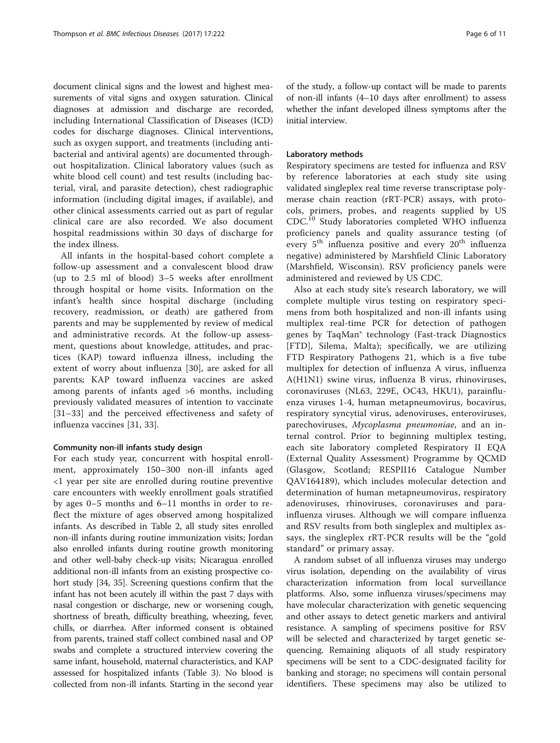document clinical signs and the lowest and highest measurements of vital signs and oxygen saturation. Clinical diagnoses at admission and discharge are recorded, including International Classification of Diseases (ICD) codes for discharge diagnoses. Clinical interventions, such as oxygen support, and treatments (including antibacterial and antiviral agents) are documented throughout hospitalization. Clinical laboratory values (such as white blood cell count) and test results (including bacterial, viral, and parasite detection), chest radiographic information (including digital images, if available), and other clinical assessments carried out as part of regular clinical care are also recorded. We also document hospital readmissions within 30 days of discharge for the index illness.

All infants in the hospital-based cohort complete a follow-up assessment and a convalescent blood draw (up to 2.5 ml of blood) 3–5 weeks after enrollment through hospital or home visits. Information on the infant's health since hospital discharge (including recovery, readmission, or death) are gathered from parents and may be supplemented by review of medical and administrative records. At the follow-up assessment, questions about knowledge, attitudes, and practices (KAP) toward influenza illness, including the extent of worry about influenza [[30\]](#page-10-0), are asked for all parents; KAP toward influenza vaccines are asked among parents of infants aged >6 months, including previously validated measures of intention to vaccinate [[31](#page-10-0)–[33\]](#page-10-0) and the perceived effectiveness and safety of influenza vaccines [\[31](#page-10-0), [33\]](#page-10-0).

#### Community non-ill infants study design

For each study year, concurrent with hospital enrollment, approximately 150–300 non-ill infants aged <1 year per site are enrolled during routine preventive care encounters with weekly enrollment goals stratified by ages 0–5 months and 6–11 months in order to reflect the mixture of ages observed among hospitalized infants. As described in Table [2](#page-3-0), all study sites enrolled non-ill infants during routine immunization visits; Jordan also enrolled infants during routine growth monitoring and other well-baby check-up visits; Nicaragua enrolled additional non-ill infants from an existing prospective cohort study [\[34](#page-10-0), [35](#page-10-0)]. Screening questions confirm that the infant has not been acutely ill within the past 7 days with nasal congestion or discharge, new or worsening cough, shortness of breath, difficulty breathing, wheezing, fever, chills, or diarrhea. After informed consent is obtained from parents, trained staff collect combined nasal and OP swabs and complete a structured interview covering the same infant, household, maternal characteristics, and KAP assessed for hospitalized infants (Table [3](#page-4-0)). No blood is collected from non-ill infants. Starting in the second year

of the study, a follow-up contact will be made to parents of non-ill infants (4–10 days after enrollment) to assess whether the infant developed illness symptoms after the initial interview.

#### Laboratory methods

Respiratory specimens are tested for influenza and RSV by reference laboratories at each study site using validated singleplex real time reverse transcriptase polymerase chain reaction (rRT-PCR) assays, with protocols, primers, probes, and reagents supplied by US CDC.<sup>10</sup> Study laboratories completed WHO influenza proficiency panels and quality assurance testing (of every  $5<sup>th</sup>$  influenza positive and every  $20<sup>th</sup>$  influenza negative) administered by Marshfield Clinic Laboratory (Marshfield, Wisconsin). RSV proficiency panels were administered and reviewed by US CDC.

Also at each study site's research laboratory, we will complete multiple virus testing on respiratory specimens from both hospitalized and non-ill infants using multiplex real-time PCR for detection of pathogen genes by TaqMan® technology (Fast-track Diagnostics [FTD], Silema, Malta); specifically, we are utilizing FTD Respiratory Pathogens 21, which is a five tube multiplex for detection of influenza A virus, influenza A(H1N1) swine virus, influenza B virus, rhinoviruses, coronaviruses (NL63, 229E, OC43, HKU1), parainfluenza viruses 1-4, human metapneumovirus, bocavirus, respiratory syncytial virus, adenoviruses, enteroviruses, parechoviruses, Mycoplasma pneumoniae, and an internal control. Prior to beginning multiplex testing, each site laboratory completed Respiratory II EQA (External Quality Assessment) Programme by QCMD (Glasgow, Scotland; RESPII16 Catalogue Number QAV164189), which includes molecular detection and determination of human metapneumovirus, respiratory adenoviruses, rhinoviruses, coronaviruses and parainfluenza viruses. Although we will compare influenza and RSV results from both singleplex and multiplex assays, the singleplex rRT-PCR results will be the "gold standard" or primary assay.

A random subset of all influenza viruses may undergo virus isolation, depending on the availability of virus characterization information from local surveillance platforms. Also, some influenza viruses/specimens may have molecular characterization with genetic sequencing and other assays to detect genetic markers and antiviral resistance. A sampling of specimens positive for RSV will be selected and characterized by target genetic sequencing. Remaining aliquots of all study respiratory specimens will be sent to a CDC-designated facility for banking and storage; no specimens will contain personal identifiers. These specimens may also be utilized to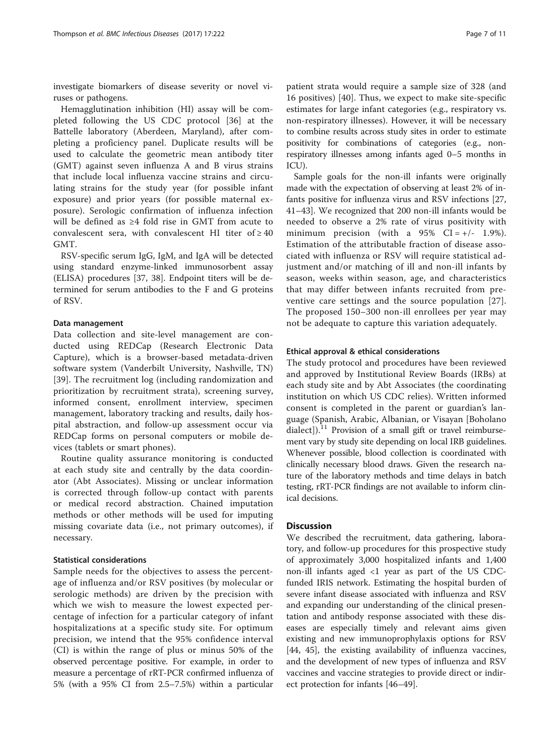investigate biomarkers of disease severity or novel viruses or pathogens.

Hemagglutination inhibition (HI) assay will be completed following the US CDC protocol [[36\]](#page-10-0) at the Battelle laboratory (Aberdeen, Maryland), after completing a proficiency panel. Duplicate results will be used to calculate the geometric mean antibody titer (GMT) against seven influenza A and B virus strains that include local influenza vaccine strains and circulating strains for the study year (for possible infant exposure) and prior years (for possible maternal exposure). Serologic confirmation of influenza infection will be defined as ≥4 fold rise in GMT from acute to convalescent sera, with convalescent HI titer of  $\geq 40$ GMT.

RSV-specific serum IgG, IgM, and IgA will be detected using standard enzyme-linked immunosorbent assay (ELISA) procedures [\[37](#page-10-0), [38\]](#page-10-0). Endpoint titers will be determined for serum antibodies to the F and G proteins of RSV.

#### Data management

Data collection and site-level management are conducted using REDCap (Research Electronic Data Capture), which is a browser-based metadata-driven software system (Vanderbilt University, Nashville, TN) [[39\]](#page-10-0). The recruitment log (including randomization and prioritization by recruitment strata), screening survey, informed consent, enrollment interview, specimen management, laboratory tracking and results, daily hospital abstraction, and follow-up assessment occur via REDCap forms on personal computers or mobile devices (tablets or smart phones).

Routine quality assurance monitoring is conducted at each study site and centrally by the data coordinator (Abt Associates). Missing or unclear information is corrected through follow-up contact with parents or medical record abstraction. Chained imputation methods or other methods will be used for imputing missing covariate data (i.e., not primary outcomes), if necessary.

# Statistical considerations

Sample needs for the objectives to assess the percentage of influenza and/or RSV positives (by molecular or serologic methods) are driven by the precision with which we wish to measure the lowest expected percentage of infection for a particular category of infant hospitalizations at a specific study site. For optimum precision, we intend that the 95% confidence interval (CI) is within the range of plus or minus 50% of the observed percentage positive. For example, in order to measure a percentage of rRT-PCR confirmed influenza of 5% (with a 95% CI from 2.5–7.5%) within a particular

patient strata would require a sample size of 328 (and 16 positives) [\[40](#page-10-0)]. Thus, we expect to make site-specific estimates for large infant categories (e.g., respiratory vs. non-respiratory illnesses). However, it will be necessary to combine results across study sites in order to estimate positivity for combinations of categories (e.g., nonrespiratory illnesses among infants aged 0–5 months in ICU).

Sample goals for the non-ill infants were originally made with the expectation of observing at least 2% of infants positive for influenza virus and RSV infections [[27](#page-10-0), [41](#page-10-0)–[43](#page-10-0)]. We recognized that 200 non-ill infants would be needed to observe a 2% rate of virus positivity with minimum precision (with a  $95\%$  CI =  $+/-$  1.9%). Estimation of the attributable fraction of disease associated with influenza or RSV will require statistical adjustment and/or matching of ill and non-ill infants by season, weeks within season, age, and characteristics that may differ between infants recruited from preventive care settings and the source population [[27](#page-10-0)]. The proposed 150–300 non-ill enrollees per year may not be adequate to capture this variation adequately.

#### Ethical approval & ethical considerations

The study protocol and procedures have been reviewed and approved by Institutional Review Boards (IRBs) at each study site and by Abt Associates (the coordinating institution on which US CDC relies). Written informed consent is completed in the parent or guardian's language (Spanish, Arabic, Albanian, or Visayan [Boholano dialect]).<sup>11</sup> Provision of a small gift or travel reimbursement vary by study site depending on local IRB guidelines. Whenever possible, blood collection is coordinated with clinically necessary blood draws. Given the research nature of the laboratory methods and time delays in batch testing, rRT-PCR findings are not available to inform clinical decisions.

### **Discussion**

We described the recruitment, data gathering, laboratory, and follow-up procedures for this prospective study of approximately 3,000 hospitalized infants and 1,400 non-ill infants aged <1 year as part of the US CDCfunded IRIS network. Estimating the hospital burden of severe infant disease associated with influenza and RSV and expanding our understanding of the clinical presentation and antibody response associated with these diseases are especially timely and relevant aims given existing and new immunoprophylaxis options for RSV [[44, 45\]](#page-10-0), the existing availability of influenza vaccines, and the development of new types of influenza and RSV vaccines and vaccine strategies to provide direct or indirect protection for infants [\[46](#page-10-0)–[49\]](#page-10-0).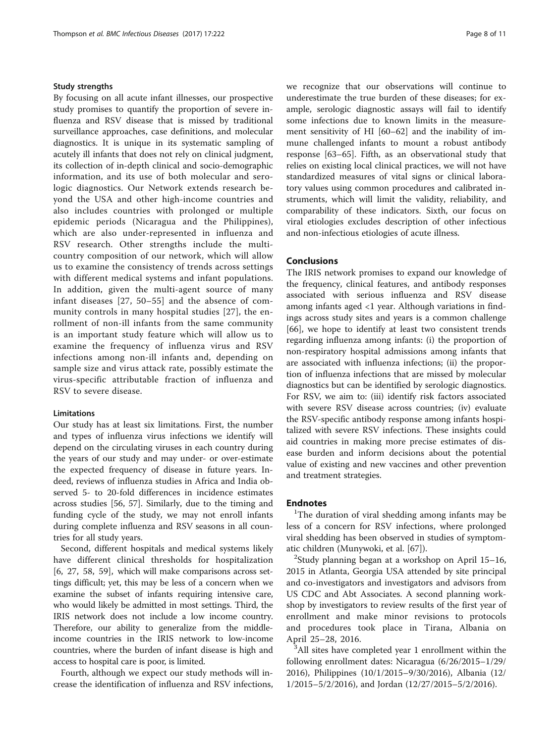# Study strengths

By focusing on all acute infant illnesses, our prospective study promises to quantify the proportion of severe influenza and RSV disease that is missed by traditional surveillance approaches, case definitions, and molecular diagnostics. It is unique in its systematic sampling of acutely ill infants that does not rely on clinical judgment, its collection of in-depth clinical and socio-demographic information, and its use of both molecular and serologic diagnostics. Our Network extends research beyond the USA and other high-income countries and also includes countries with prolonged or multiple epidemic periods (Nicaragua and the Philippines), which are also under-represented in influenza and RSV research. Other strengths include the multicountry composition of our network, which will allow us to examine the consistency of trends across settings with different medical systems and infant populations. In addition, given the multi-agent source of many infant diseases [[27](#page-10-0), [50](#page-10-0)–[55\]](#page-10-0) and the absence of community controls in many hospital studies [\[27\]](#page-10-0), the enrollment of non-ill infants from the same community is an important study feature which will allow us to examine the frequency of influenza virus and RSV infections among non-ill infants and, depending on sample size and virus attack rate, possibly estimate the virus-specific attributable fraction of influenza and RSV to severe disease.

#### Limitations

Our study has at least six limitations. First, the number and types of influenza virus infections we identify will depend on the circulating viruses in each country during the years of our study and may under- or over-estimate the expected frequency of disease in future years. Indeed, reviews of influenza studies in Africa and India observed 5- to 20-fold differences in incidence estimates across studies [[56, 57](#page-10-0)]. Similarly, due to the timing and funding cycle of the study, we may not enroll infants during complete influenza and RSV seasons in all countries for all study years.

Second, different hospitals and medical systems likely have different clinical thresholds for hospitalization [[6,](#page-9-0) [27, 58](#page-10-0), [59](#page-10-0)], which will make comparisons across settings difficult; yet, this may be less of a concern when we examine the subset of infants requiring intensive care, who would likely be admitted in most settings. Third, the IRIS network does not include a low income country. Therefore, our ability to generalize from the middleincome countries in the IRIS network to low-income countries, where the burden of infant disease is high and access to hospital care is poor, is limited.

Fourth, although we expect our study methods will increase the identification of influenza and RSV infections, we recognize that our observations will continue to underestimate the true burden of these diseases; for example, serologic diagnostic assays will fail to identify some infections due to known limits in the measurement sensitivity of HI [\[60](#page-10-0)–[62](#page-10-0)] and the inability of immune challenged infants to mount a robust antibody response [\[63](#page-10-0)–[65\]](#page-10-0). Fifth, as an observational study that relies on existing local clinical practices, we will not have standardized measures of vital signs or clinical laboratory values using common procedures and calibrated instruments, which will limit the validity, reliability, and comparability of these indicators. Sixth, our focus on viral etiologies excludes description of other infectious and non-infectious etiologies of acute illness.

# Conclusions

The IRIS network promises to expand our knowledge of the frequency, clinical features, and antibody responses associated with serious influenza and RSV disease among infants aged <1 year. Although variations in findings across study sites and years is a common challenge [[66\]](#page-10-0), we hope to identify at least two consistent trends regarding influenza among infants: (i) the proportion of non-respiratory hospital admissions among infants that are associated with influenza infections; (ii) the proportion of influenza infections that are missed by molecular diagnostics but can be identified by serologic diagnostics. For RSV, we aim to: (iii) identify risk factors associated with severe RSV disease across countries; (iv) evaluate the RSV-specific antibody response among infants hospitalized with severe RSV infections. These insights could aid countries in making more precise estimates of disease burden and inform decisions about the potential value of existing and new vaccines and other prevention and treatment strategies.

# **Endnotes**

<sup>1</sup>The duration of viral shedding among infants may be less of a concern for RSV infections, where prolonged viral shedding has been observed in studies of symptomatic children (Munywoki, et al. [\[67](#page-10-0)]). <sup>2</sup>

 $2$ Study planning began at a workshop on April 15–16, 2015 in Atlanta, Georgia USA attended by site principal and co-investigators and investigators and advisors from US CDC and Abt Associates. A second planning workshop by investigators to review results of the first year of enrollment and make minor revisions to protocols and procedures took place in Tirana, Albania on April 25–28, 2016. <sup>3</sup>

<sup>3</sup>All sites have completed year 1 enrollment within the following enrollment dates: Nicaragua (6/26/2015–1/29/ 2016), Philippines (10/1/2015–9/30/2016), Albania (12/ 1/2015–5/2/2016), and Jordan (12/27/2015–5/2/2016).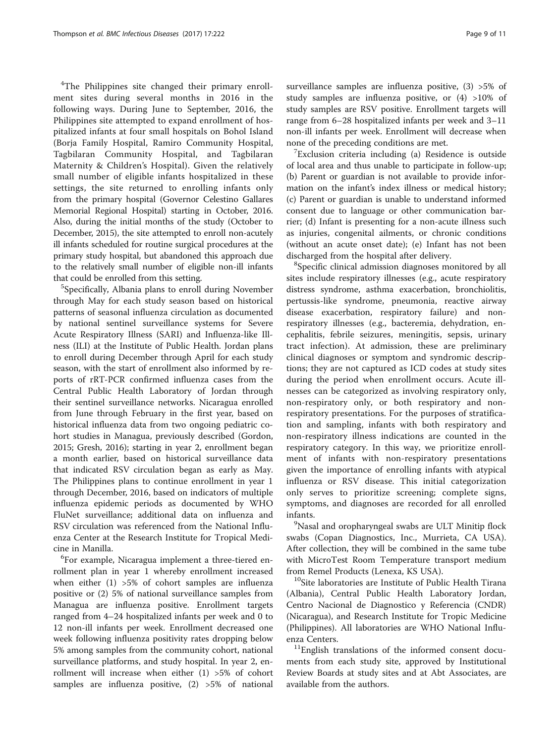<sup>4</sup>The Philippines site changed their primary enrollment sites during several months in 2016 in the following ways. During June to September, 2016, the Philippines site attempted to expand enrollment of hospitalized infants at four small hospitals on Bohol Island (Borja Family Hospital, Ramiro Community Hospital, Tagbilaran Community Hospital, and Tagbilaran Maternity & Children's Hospital). Given the relatively small number of eligible infants hospitalized in these settings, the site returned to enrolling infants only from the primary hospital (Governor Celestino Gallares Memorial Regional Hospital) starting in October, 2016. Also, during the initial months of the study (October to December, 2015), the site attempted to enroll non-acutely ill infants scheduled for routine surgical procedures at the primary study hospital, but abandoned this approach due to the relatively small number of eligible non-ill infants that could be enrolled from this setting.

<sup>5</sup>Specifically, Albania plans to enroll during November through May for each study season based on historical patterns of seasonal influenza circulation as documented by national sentinel surveillance systems for Severe Acute Respiratory Illness (SARI) and Influenza-like Illness (ILI) at the Institute of Public Health. Jordan plans to enroll during December through April for each study season, with the start of enrollment also informed by reports of rRT-PCR confirmed influenza cases from the Central Public Health Laboratory of Jordan through their sentinel surveillance networks. Nicaragua enrolled from June through February in the first year, based on historical influenza data from two ongoing pediatric cohort studies in Managua, previously described (Gordon, 2015; Gresh, 2016); starting in year 2, enrollment began a month earlier, based on historical surveillance data that indicated RSV circulation began as early as May. The Philippines plans to continue enrollment in year 1 through December, 2016, based on indicators of multiple influenza epidemic periods as documented by WHO FluNet surveillance; additional data on influenza and RSV circulation was referenced from the National Influenza Center at the Research Institute for Tropical Medicine in Manilla. <sup>6</sup>

For example, Nicaragua implement a three-tiered enrollment plan in year 1 whereby enrollment increased when either  $(1)$  >5% of cohort samples are influenza positive or (2) 5% of national surveillance samples from Managua are influenza positive. Enrollment targets ranged from 4–24 hospitalized infants per week and 0 to 12 non-ill infants per week. Enrollment decreased one week following influenza positivity rates dropping below 5% among samples from the community cohort, national surveillance platforms, and study hospital. In year 2, enrollment will increase when either (1) >5% of cohort samples are influenza positive,  $(2)$  >5% of national surveillance samples are influenza positive, (3) >5% of study samples are influenza positive, or (4) >10% of study samples are RSV positive. Enrollment targets will range from 6–28 hospitalized infants per week and 3–11 non-ill infants per week. Enrollment will decrease when none of the preceding conditions are met. <sup>7</sup>

 $7$ Exclusion criteria including (a) Residence is outside of local area and thus unable to participate in follow-up; (b) Parent or guardian is not available to provide information on the infant's index illness or medical history; (c) Parent or guardian is unable to understand informed consent due to language or other communication barrier; (d) Infant is presenting for a non-acute illness such as injuries, congenital ailments, or chronic conditions (without an acute onset date); (e) Infant has not been discharged from the hospital after delivery.

Specific clinical admission diagnoses monitored by all sites include respiratory illnesses (e.g., acute respiratory distress syndrome, asthma exacerbation, bronchiolitis, pertussis-like syndrome, pneumonia, reactive airway disease exacerbation, respiratory failure) and nonrespiratory illnesses (e.g., bacteremia, dehydration, encephalitis, febrile seizures, meningitis, sepsis, urinary tract infection). At admission, these are preliminary clinical diagnoses or symptom and syndromic descriptions; they are not captured as ICD codes at study sites during the period when enrollment occurs. Acute illnesses can be categorized as involving respiratory only, non-respiratory only, or both respiratory and nonrespiratory presentations. For the purposes of stratification and sampling, infants with both respiratory and non-respiratory illness indications are counted in the respiratory category. In this way, we prioritize enrollment of infants with non-respiratory presentations given the importance of enrolling infants with atypical influenza or RSV disease. This initial categorization only serves to prioritize screening; complete signs, symptoms, and diagnoses are recorded for all enrolled infants. <sup>9</sup>

<sup>9</sup>Nasal and oropharyngeal swabs are ULT Minitip flock swabs (Copan Diagnostics, Inc., Murrieta, CA USA). After collection, they will be combined in the same tube with MicroTest Room Temperature transport medium

from Remel Products (Lenexa, KS USA).<br><sup>10</sup>Site laboratories are Institute of Public Health Tirana (Albania), Central Public Health Laboratory Jordan, Centro Nacional de Diagnostico y Referencia (CNDR) (Nicaragua), and Research Institute for Tropic Medicine (Philippines). All laboratories are WHO National Influenza Centers.<br><sup>11</sup>English translations of the informed consent docu-

ments from each study site, approved by Institutional Review Boards at study sites and at Abt Associates, are available from the authors.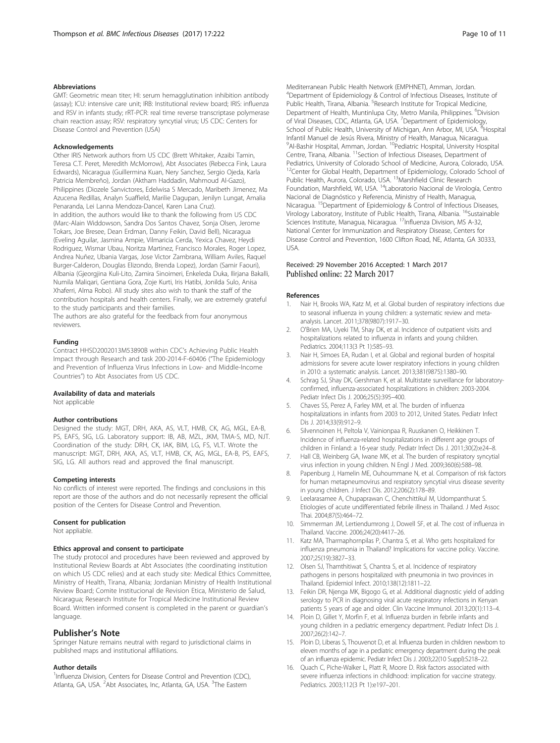#### <span id="page-9-0"></span>Abbreviations

GMT: Geometric mean titer; HI: serum hemagglutination inhibition antibody (assay); ICU: intensive care unit; IRB: Institutional review board; IRIS: influenza and RSV in infants study; rRT-PCR: real time reverse transcriptase polymerase chain reaction assay; RSV: respiratory syncytial virus; US CDC: Centers for Disease Control and Prevention (USA)

#### Acknowledgements

Other IRIS Network authors from US CDC (Brett Whitaker, Azaibi Tamin, Teresa C.T. Peret, Meredith McMorrow), Abt Associates (Rebecca Fink, Laura Edwards), Nicaragua (Guillermina Kuan, Nery Sanchez, Sergio Ojeda, Karla Patricia Membreño), Jordan (Aktham Haddadin, Mahmoud Al-Gazo), Philippines (Diozele Sanvictores, Edelwisa S Mercado, Maribeth Jimenez, Ma Azucena Redillas, Analyn Suaffield, Marilie Dagupan, Jenilyn Lungat, Amalia Penaranda, Lei Lanna Mendoza-Dancel, Karen Lana Cruz). In addition, the authors would like to thank the following from US CDC (Marc-Alain Widdowson, Sandra Dos Santos Chavez, Sonja Olsen, Jerome Tokars, Joe Bresee, Dean Erdman, Danny Feikin, David Bell), Nicaragua (Eveling Aguilar, Jasmina Ampie, Vilmaricia Cerda, Yexica Chavez, Heydi Rodriguez, Wismar Ubau, Noritza Martinez, Francisco Morales, Roger Lopez, Andrea Nuñez, Ubania Vargas, Jose Victor Zambrana, William Aviles, Raquel Burger-Calderon, Douglas Elizondo, Brenda Lopez), Jordan (Samir Faouri), Albania (Gjeorgjina Kuli-Lito, Zamira Sinoimeri, Enkeleda Duka, Ilirjana Bakalli, Numila Maliqari, Gentiana Gora, Zoje Kurti, Iris Hatibi, Jonilda Sulo, Anisa Xhaferri, Alma Robo). All study sites also wish to thank the staff of the contribution hospitals and health centers. Finally, we are extremely grateful to the study participants and their families.

The authors are also grateful for the feedback from four anonymous reviewers.

#### Funding

Contract HHSD2002013M53890B within CDC's Achieving Public Health Impact through Research and task 200-2014-F-60406 ("The Epidemiology and Prevention of Influenza Virus Infections in Low- and Middle-Income Countries") to Abt Associates from US CDC.

#### Availability of data and materials

Not applicable

#### Author contributions

Designed the study: MGT, DRH, AKA, AS, VLT, HMB, CK, AG, MGL, EA-B, PS, EAFS, SIG, LG. Laboratory support: IB, AB, MZL, JKM, TMA-S, MD, NJT. Coordination of the study: DRH, CK, IAK, BIM, LG, FS, VLT. Wrote the manuscript: MGT, DRH, AKA, AS, VLT, HMB, CK, AG, MGL, EA-B, PS, EAFS, SIG, LG. All authors read and approved the final manuscript.

#### Competing interests

No conflicts of interest were reported. The findings and conclusions in this report are those of the authors and do not necessarily represent the official position of the Centers for Disease Control and Prevention.

#### Consent for publication

Not appliable.

#### Ethics approval and consent to participate

The study protocol and procedures have been reviewed and approved by Institutional Review Boards at Abt Associates (the coordinating institution on which US CDC relies) and at each study site: Medical Ethics Committee, Ministry of Health, Tirana, Albania; Jordanian Ministry of Health Institutional Review Board; Comite Institucional de Revision Etica, Ministerio de Salud, Nicaragua; Research Institute for Tropical Medicine Institutional Review Board. Written informed consent is completed in the parent or guardian's language.

#### Publisher's Note

Springer Nature remains neutral with regard to jurisdictional claims in published maps and institutional affiliations.

#### Author details

<sup>1</sup>Influenza Division, Centers for Disease Control and Prevention (CDC), Atlanta, GA, USA. <sup>2</sup>Abt Associates, Inc, Atlanta, GA, USA. <sup>3</sup>The Eastern

Mediterranean Public Health Network (EMPHNET), Amman, Jordan. 4 Department of Epidemiology & Control of Infectious Diseases, Institute of Public Health, Tirana, Albania. <sup>5</sup> Research Institute for Tropical Medicine, Department of Health, Muntinlupa City, Metro Manila, Philippines. <sup>6</sup>Division of Viral Diseases, CDC, Atlanta, GA, USA. <sup>7</sup>Department of Epidemiology, School of Public Health, University of Michigan, Ann Arbor, MI, USA. <sup>8</sup>Hospital Infantil Manuel de Jesús Rivera, Ministry of Health, Managua, Nicaragua. <sup>9</sup>Al-Bashir Hospital, Amman, Jordan. <sup>10</sup>Pediatric Hospital, University Hospital Centre, Tirana, Albania. 11Section of Infectious Diseases, Department of Pediatrics, University of Colorado School of Medicine, Aurora, Colorado, USA. <sup>12</sup>Center for Global Health, Department of Epidemiology, Colorado School of Public Health, Aurora, Colorado, USA. <sup>13</sup>Marshfield Clinic Research Foundation, Marshfield, WI, USA. 14Laboratorio Nacional de Virología, Centro Nacional de Diagnóstico y Referencia, Ministry of Health, Managua, Nicaragua. 15Department of Epidemiology & Control of Infectious Diseases, Virology Laboratory, Institute of Public Health, Tirana, Albania. <sup>16</sup>Sustainable Sciences Institute, Managua, Nicaragua. 17Influenza Division, MS A-32, National Center for Immunization and Respiratory Disease, Centers for Disease Control and Prevention, 1600 Clifton Road, NE, Atlanta, GA 30333, USA.

#### Received: 29 November 2016 Accepted: 1 March 2017 Published online: 22 March 2017

#### References

- 1. Nair H, Brooks WA, Katz M, et al. Global burden of respiratory infections due to seasonal influenza in young children: a systematic review and metaanalysis. Lancet. 2011;378(9807):1917–30.
- 2. O'Brien MA, Uyeki TM, Shay DK, et al. Incidence of outpatient visits and hospitalizations related to influenza in infants and young children. Pediatrics. 2004;113(3 Pt 1):585–93.
- 3. Nair H, Simoes EA, Rudan I, et al. Global and regional burden of hospital admissions for severe acute lower respiratory infections in young children in 2010: a systematic analysis. Lancet. 2013;381(9875):1380–90.
- 4. Schrag SJ, Shay DK, Gershman K, et al. Multistate surveillance for laboratoryconfirmed, influenza-associated hospitalizations in children: 2003-2004. Pediatr Infect Dis J. 2006;25(5):395–400.
- 5. Chaves SS, Perez A, Farley MM, et al. The burden of influenza hospitalizations in infants from 2003 to 2012, United States. Pediatr Infect Dis J. 2014;33(9):912–9.
- 6. Silvennoinen H, Peltola V, Vainionpaa R, Ruuskanen O, Heikkinen T. Incidence of influenza-related hospitalizations in different age groups of children in Finland: a 16-year study. Pediatr Infect Dis J. 2011;30(2):e24–8.
- 7. Hall CB, Weinberg GA, Iwane MK, et al. The burden of respiratory syncytial virus infection in young children. N Engl J Med. 2009;360(6):588–98.
- Papenburg J, Hamelin ME, Ouhoummane N, et al. Comparison of risk factors for human metapneumovirus and respiratory syncytial virus disease severity in young children. J Infect Dis. 2012;206(2):178–89.
- Leelarasamee A, Chupaprawan C, Chenchittikul M, Udompanthurat S. Etiologies of acute undifferentiated febrile illness in Thailand. J Med Assoc Thai. 2004;87(5):464–72.
- 10. Simmerman JM, Lertiendumrong J, Dowell SF, et al. The cost of influenza in Thailand. Vaccine. 2006;24(20):4417–26.
- 11. Katz MA, Tharmaphornpilas P, Chantra S, et al. Who gets hospitalized for influenza pneumonia in Thailand? Implications for vaccine policy. Vaccine. 2007;25(19):3827–33.
- 12. Olsen SJ, Thamthitiwat S, Chantra S, et al. Incidence of respiratory pathogens in persons hospitalized with pneumonia in two provinces in Thailand. Epidemiol Infect. 2010;138(12):1811–22.
- 13. Feikin DR, Njenga MK, Bigogo G, et al. Additional diagnostic yield of adding serology to PCR in diagnosing viral acute respiratory infections in Kenyan patients 5 years of age and older. Clin Vaccine Immunol. 2013;20(1):113–4.
- 14. Ploin D, Gillet Y, Morfin F, et al. Influenza burden in febrile infants and young children in a pediatric emergency department. Pediatr Infect Dis J. 2007;26(2):142–7.
- 15. Ploin D, Liberas S, Thouvenot D, et al. Influenza burden in children newborn to eleven months of age in a pediatric emergency department during the peak of an influenza epidemic. Pediatr Infect Dis J. 2003;22(10 Suppl):S218–22.
- 16. Quach C, Piche-Walker L, Platt R, Moore D. Risk factors associated with severe influenza infections in childhood: implication for vaccine strategy. Pediatrics. 2003;112(3 Pt 1):e197–201.